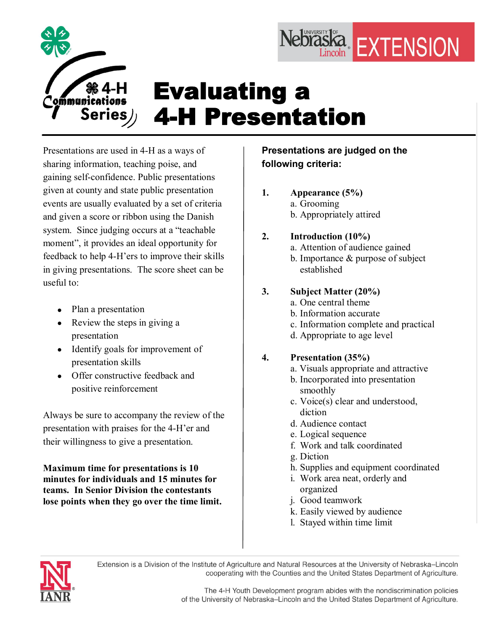

# Evaluating a **4-H Presentation**

Presentations are used in 4-H as a ways of sharing information, teaching poise, and gaining self-confidence. Public presentations given at county and state public presentation events are usually evaluated by a set of criteria and given a score or ribbon using the Danish system. Since judging occurs at a "teachable moment", it provides an ideal opportunity for feedback to help 4-H'ers to improve their skills in giving presentations. The score sheet can be useful to:

- Plan a presentation
- Review the steps in giving a presentation
- Identify goals for improvement of presentation skills
- Offer constructive feedback and positive reinforcement

Always be sure to accompany the review of the presentation with praises for the 4H'er and their willingness to give a presentation.

**Maximum time for presentations is 10 minutes for individuals and 15 minutes for teams. In Senior Division the contestants lose points when they go over the time limit.**

# **Presentations are judged on the following criteria:**

**1. Appearance (5%)** a. Grooming b. Appropriately attired

## **2. Introduction (10%)**

- a. Attention of audience gained
- b. Importance & purpose of subject established

Nebraska EXTENSION

## **3. Subject Matter (20%)**

- a. One central theme
- b. Information accurate
- c. Information complete and practical
- d. Appropriate to age level

## **4. Presentation (35%)**

- a. Visuals appropriate and attractive
- b. Incorporated into presentation smoothly
- c. Voice(s) clear and understood, diction
- d. Audience contact
- e. Logical sequence
- f. Work and talk coordinated
- g. Diction
- h. Supplies and equipment coordinated
- i. Work area neat, orderly and organized
- j. Good teamwork
- k. Easily viewed by audience
- l. Stayed within time limit



Extension is a Division of the Institute of Agriculture and Natural Resources at the University of Nebraska-Lincoln cooperating with the Counties and the United States Department of Agriculture.

> The 4-H Youth Development program abides with the nondiscrimination policies of the University of Nebraska-Lincoln and the United States Department of Agriculture.